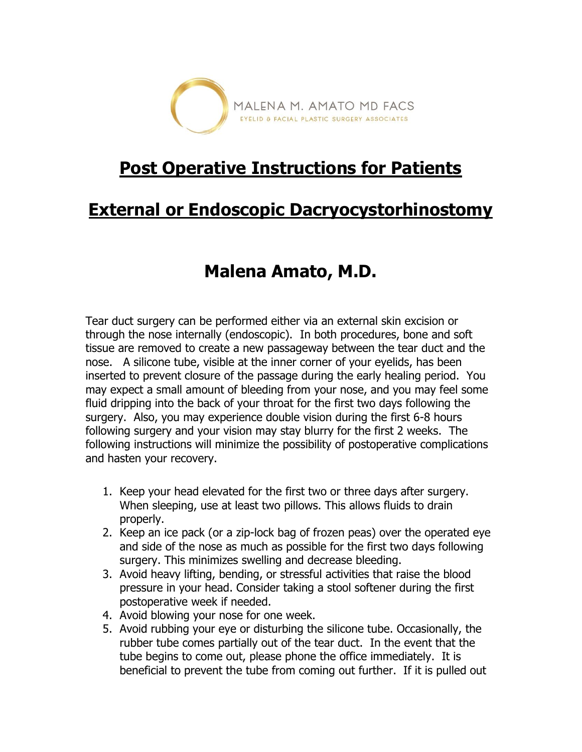

## **Post Operative Instructions for Patients**

## **External or Endoscopic Dacryocystorhinostomy**

## **Malena Amato, M.D.**

Tear duct surgery can be performed either via an external skin excision or through the nose internally (endoscopic). In both procedures, bone and soft tissue are removed to create a new passageway between the tear duct and the nose. A silicone tube, visible at the inner corner of your eyelids, has been inserted to prevent closure of the passage during the early healing period. You may expect a small amount of bleeding from your nose, and you may feel some fluid dripping into the back of your throat for the first two days following the surgery. Also, you may experience double vision during the first 6-8 hours following surgery and your vision may stay blurry for the first 2 weeks. The following instructions will minimize the possibility of postoperative complications and hasten your recovery.

- 1. Keep your head elevated for the first two or three days after surgery. When sleeping, use at least two pillows. This allows fluids to drain properly.
- 2. Keep an ice pack (or a zip-lock bag of frozen peas) over the operated eye and side of the nose as much as possible for the first two days following surgery. This minimizes swelling and decrease bleeding.
- 3. Avoid heavy lifting, bending, or stressful activities that raise the blood pressure in your head. Consider taking a stool softener during the first postoperative week if needed.
- 4. Avoid blowing your nose for one week.
- 5. Avoid rubbing your eye or disturbing the silicone tube. Occasionally, the rubber tube comes partially out of the tear duct. In the event that the tube begins to come out, please phone the office immediately. It is beneficial to prevent the tube from coming out further. If it is pulled out